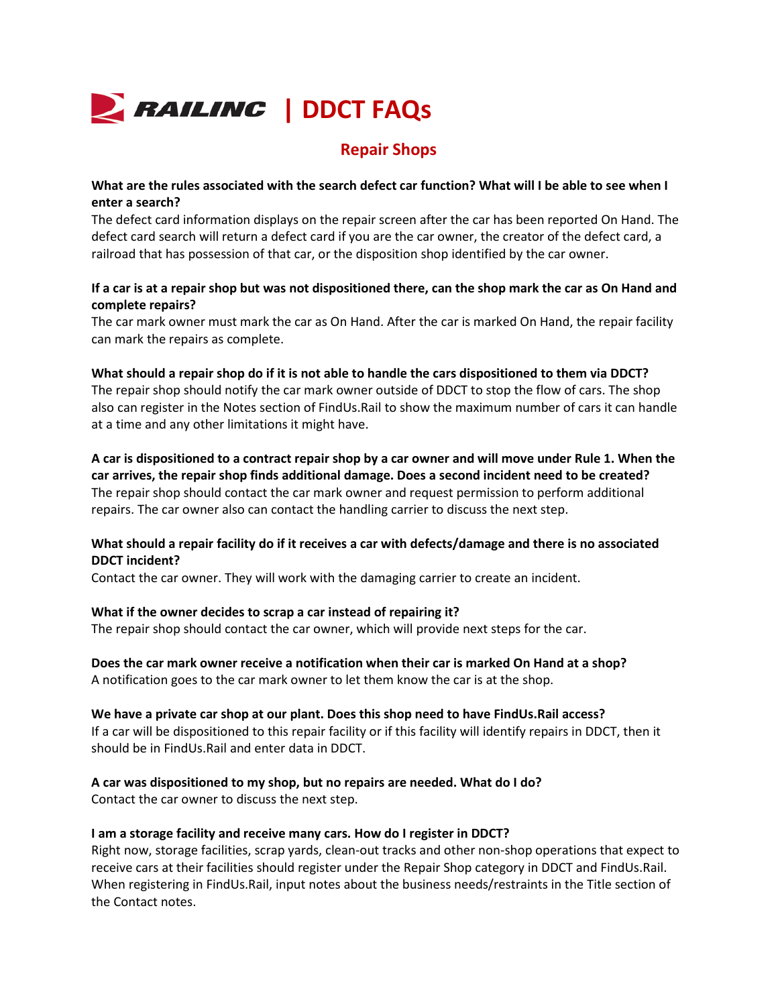

## **Repair Shops**

## **What are the rules associated with the search defect car function? What will I be able to see when I enter a search?**

The defect card information displays on the repair screen after the car has been reported On Hand. The defect card search will return a defect card if you are the car owner, the creator of the defect card, a railroad that has possession of that car, or the disposition shop identified by the car owner.

## **If a car is at a repair shop but was not dispositioned there, can the shop mark the car as On Hand and complete repairs?**

The car mark owner must mark the car as On Hand. After the car is marked On Hand, the repair facility can mark the repairs as complete.

### **What should a repair shop do if it is not able to handle the cars dispositioned to them via DDCT?**

The repair shop should notify the car mark owner outside of DDCT to stop the flow of cars. The shop also can register in the Notes section of FindUs.Rail to show the maximum number of cars it can handle at a time and any other limitations it might have.

**A car is dispositioned to a contract repair shop by a car owner and will move under Rule 1. When the car arrives, the repair shop finds additional damage. Does a second incident need to be created?** The repair shop should contact the car mark owner and request permission to perform additional repairs. The car owner also can contact the handling carrier to discuss the next step.

## **What should a repair facility do if it receives a car with defects/damage and there is no associated DDCT incident?**

Contact the car owner. They will work with the damaging carrier to create an incident.

## **What if the owner decides to scrap a car instead of repairing it?**

The repair shop should contact the car owner, which will provide next steps for the car.

**Does the car mark owner receive a notification when their car is marked On Hand at a shop?** A notification goes to the car mark owner to let them know the car is at the shop.

#### **We have a private car shop at our plant. Does this shop need to have FindUs.Rail access?** If a car will be dispositioned to this repair facility or if this facility will identify repairs in DDCT, then it should be in FindUs.Rail and enter data in DDCT.

# **A car was dispositioned to my shop, but no repairs are needed. What do I do?**

Contact the car owner to discuss the next step.

## **I am a storage facility and receive many cars. How do I register in DDCT?**

Right now, storage facilities, scrap yards, clean-out tracks and other non-shop operations that expect to receive cars at their facilities should register under the Repair Shop category in DDCT and FindUs.Rail. When registering in FindUs.Rail, input notes about the business needs/restraints in the Title section of the Contact notes.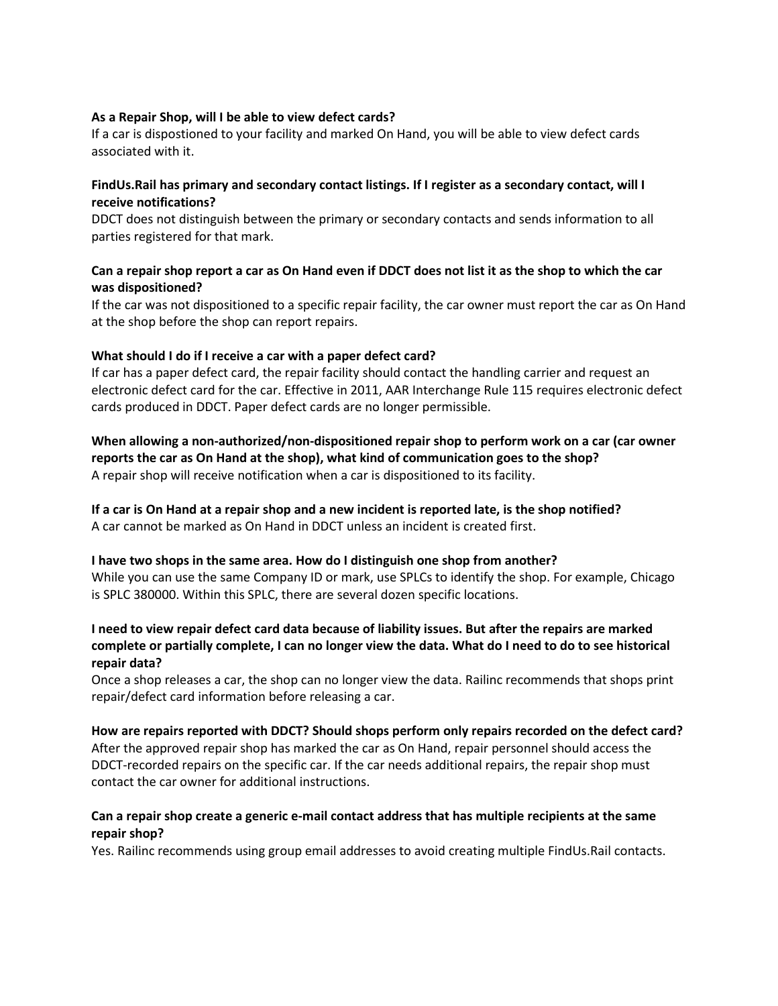### **As a Repair Shop, will I be able to view defect cards?**

If a car is dispostioned to your facility and marked On Hand, you will be able to view defect cards associated with it.

## **FindUs.Rail has primary and secondary contact listings. If I register as a secondary contact, will I receive notifications?**

DDCT does not distinguish between the primary or secondary contacts and sends information to all parties registered for that mark.

## **Can a repair shop report a car as On Hand even if DDCT does not list it as the shop to which the car was dispositioned?**

If the car was not dispositioned to a specific repair facility, the car owner must report the car as On Hand at the shop before the shop can report repairs.

#### **What should I do if I receive a car with a paper defect card?**

If car has a paper defect card, the repair facility should contact the handling carrier and request an electronic defect card for the car. Effective in 2011, AAR Interchange Rule 115 requires electronic defect cards produced in DDCT. Paper defect cards are no longer permissible.

**When allowing a non-authorized/non-dispositioned repair shop to perform work on a car (car owner reports the car as On Hand at the shop), what kind of communication goes to the shop?** A repair shop will receive notification when a car is dispositioned to its facility.

## **If a car is On Hand at a repair shop and a new incident is reported late, is the shop notified?** A car cannot be marked as On Hand in DDCT unless an incident is created first.

#### **I have two shops in the same area. How do I distinguish one shop from another?**

While you can use the same Company ID or mark, use SPLCs to identify the shop. For example, Chicago is SPLC 380000. Within this SPLC, there are several dozen specific locations.

## **I need to view repair defect card data because of liability issues. But after the repairs are marked complete or partially complete, I can no longer view the data. What do I need to do to see historical repair data?**

Once a shop releases a car, the shop can no longer view the data. Railinc recommends that shops print repair/defect card information before releasing a car.

#### **How are repairs reported with DDCT? Should shops perform only repairs recorded on the defect card?**

After the approved repair shop has marked the car as On Hand, repair personnel should access the DDCT-recorded repairs on the specific car. If the car needs additional repairs, the repair shop must contact the car owner for additional instructions.

#### **Can a repair shop create a generic e-mail contact address that has multiple recipients at the same repair shop?**

Yes. Railinc recommends using group email addresses to avoid creating multiple FindUs.Rail contacts.